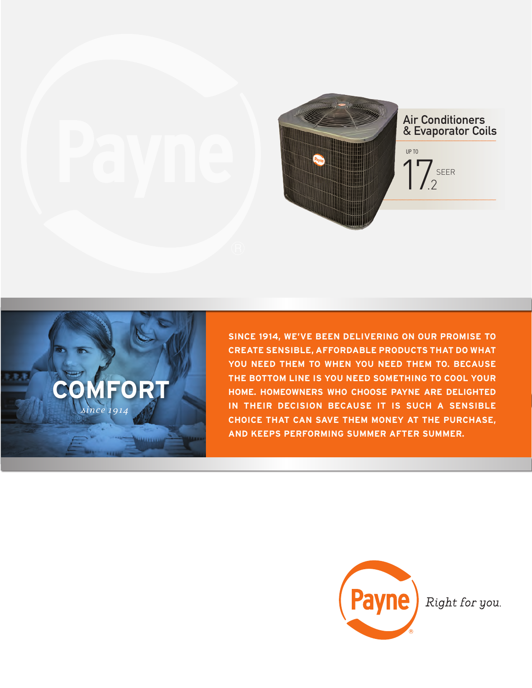



**SINCE 1914, WE'VE BEEN DELIVERING ON OUR PROMISE TO CREATE SENSIBLE, AFFORDABLE PRODUCTS THAT DO WHAT YOU NEED THEM TO WHEN YOU NEED THEM TO. BECAUSE THE BOTTOM LINE IS YOU NEED SOMETHING TO COOL YOUR HOME. HOMEOWNERS WHO CHOOSE PAYNE ARE DELIGHTED IN THEIR DECISION BECAUSE IT IS SUCH A SENSIBLE CHOICE THAT CAN SAVE THEM MONEY AT THE PURCHASE, AND KEEPS PERFORMING SUMMER AFTER SUMMER.**



Right for you.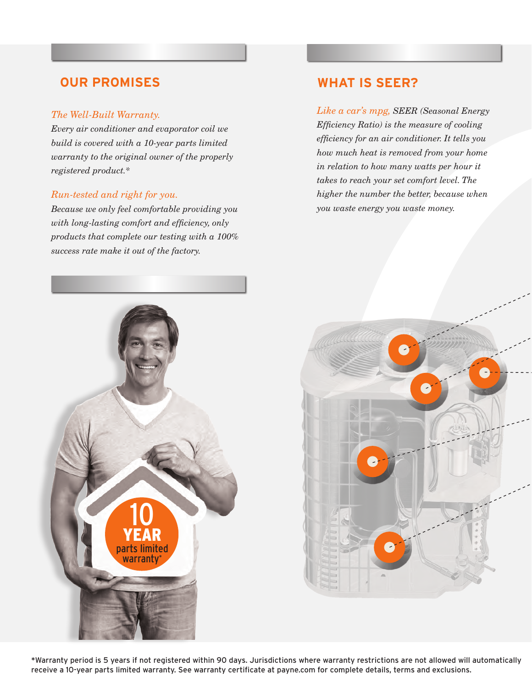# **OUR PROMISES**

### *The Well-Built Warranty.*

*Every air conditioner and evaporator coil we build is covered with a 10-year parts limited warranty to the original owner of the properly registered product.\**

### *Run-tested and right for you.*

*Because we only feel comfortable providing you with long-lasting comfort and efficiency, only products that complete our testing with a 100% success rate make it out of the factory.* 

# **WHAT IS SEER?**

*Like a car's mpg, SEER (Seasonal Energy Efficiency Ratio) is the measure of cooling efficiency for an air conditioner. It tells you how much heat is removed from your home in relation to how many watts per hour it takes to reach your set comfort level. The higher the number the better, because when you waste energy you waste money.*





\*Warranty period is 5 years if not registered within 90 days. Jurisdictions where warranty restrictions are not allowed will automatically receive a 10-year parts limited warranty. See warranty certificate at payne.com for complete details, terms and exclusions.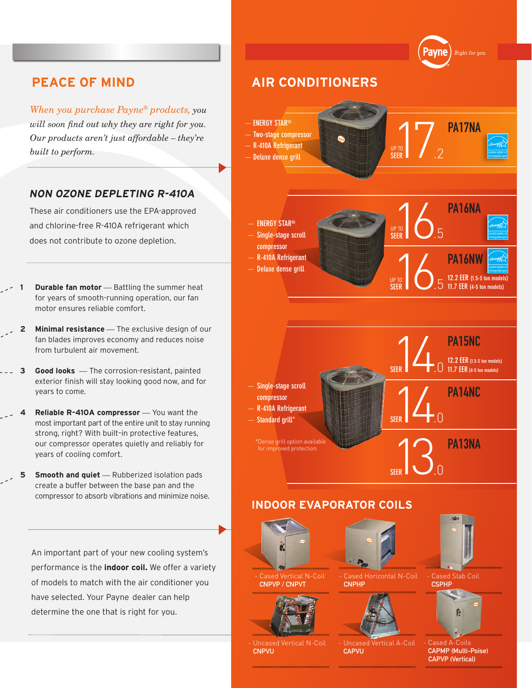*When you purchase Payne® products, you will soon find out why they are right for you. Our products aren't just affordable – they're* 

### **NON OZONE DEPLETING R-410A**

These air conditioners use the EPA-approved and chlorine-free R-410A refrigerant which does not contribute to ozone depletion.

- **Durable fan motor** Battling the summer heat for years of smooth-running operation, our fan motor ensures reliable comfort.
- **Minimal resistance** The exclusive design of our fan blades improves economy and reduces noise from turbulent air movement.
- **3 Good looks** *—* The corrosion-resistant, painted exterior finish will stay looking good now, and for years to come.
- **4 Reliable R-410A compressor** You want the most important part of the entire unit to stay running strong, right? With built–in protective features, our compressor operates quietly and reliably for years of cooling comfort.
- **5** Smooth and quiet Rubberized isolation pads create a buffer between the base pan and the compressor to absorb vibrations and minimize noise.

An important part of your new cooling system's performance is the **indoor coil.** We offer a variety of models to match with the air conditioner you have selected. Your Payne dealer can help determine the one that is right for you.

## .<br>Right for you **PEACE OF MIND AIR CONDITIONERS**  *built soon find out why they are right for you.*<br> *built to perform.*<br> *built to perform.*<br> *built to perform.*<br> *SEER*<br> *Built to perform.*<br> *SEER*<br> *Built to perform.*<br> *SEER* — **ENERGY STAR®** PA17NA — **Two-stage compressor** — **R-410A Refrigerant** UP TO — **Deluxe dense grill PRODUCED**<br>**EER** 6.5 — **ENERGY STAR®** UP TO  $^{\prime}$ .5 — **Single-stage scroll SEER compressor** PTO<br>EER 12.2 EER (1.5-3 to — **R-410A Refrigerant** — **Deluxe dense grill 12.2 EER** (1.5-3 ton mo SEER  $\bigcup_{5}$ **11.7 EER (4-5 ton models) SEER** PA15NC<br>12.2 EER (1.5-3)<br>11.7 EER (4-5-10) **12.2 EER (1.5-3 ton models)** .0 **11.7 EER (4-5 ton models) SEER** — **Single-stage scroll**   $1/4$  Pa14NC **compressor** — **R-410A Refrigerant** .0 — **Standard grill\* SEER 13 PA13NA** \*Dense grill option available for improved protection.  $\overline{0}$ . **SEER INDOOR EVAPORATOR COILS**



ased Vertical N-Coil CNPVP / CNPVT



CNPVU

Cased Horizontal N-Coil CNPHP



CAPVU



- Cased Slab Coil CSPHP



Cased A CAPMP (Multi-Poise) CAPVP (Vertical)